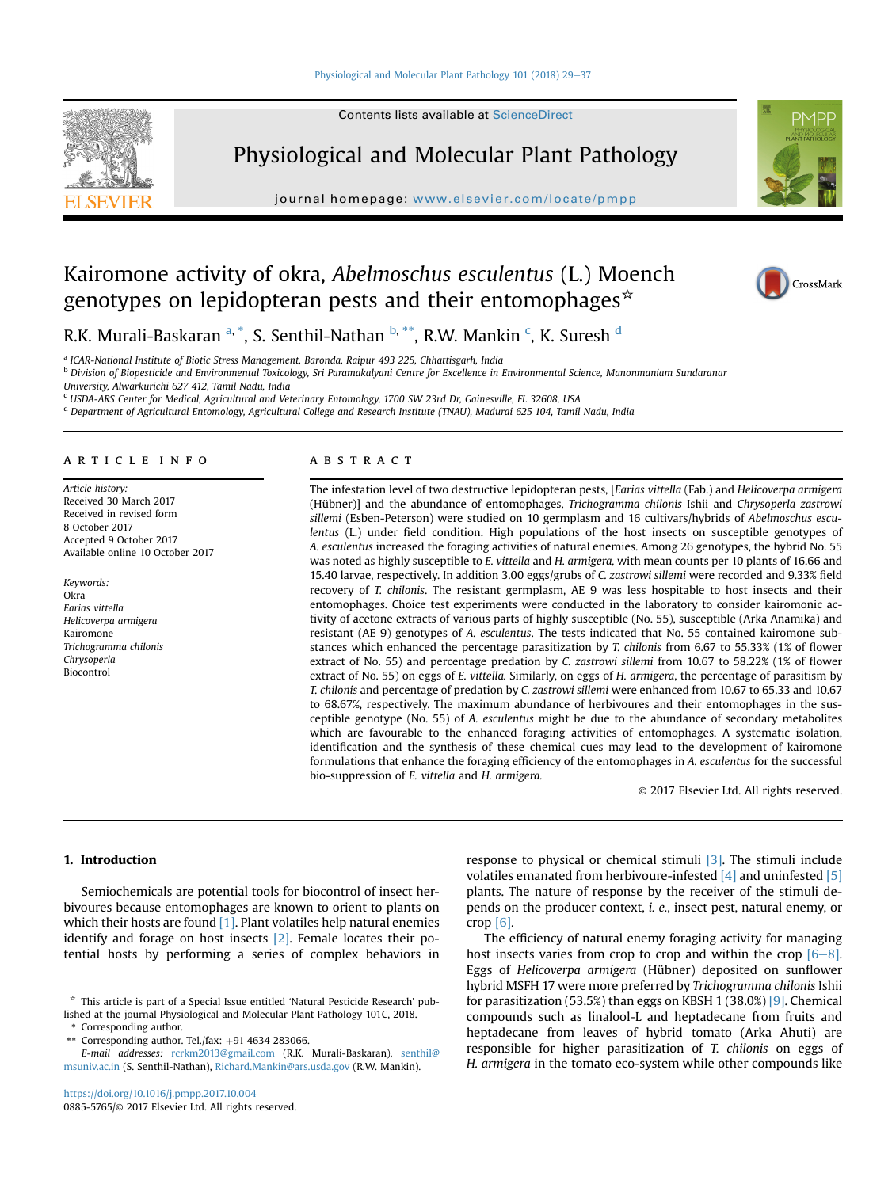## [Physiological and Molecular Plant Pathology 101 \(2018\) 29](https://doi.org/10.1016/j.pmpp.2017.10.004)-[37](https://doi.org/10.1016/j.pmpp.2017.10.004)





Physiological and Molecular Plant Pathology

journal homepage: [www.elsevier.com/locate/pmpp](http://www.elsevier.com/locate/pmpp)



# Kairomone activity of okra, Abelmoschus esculentus (L.) Moench genotypes on lepidopteran pests and their entomophages<sup> $\star$ </sup>



R.K. Murali-Baskaran <sup>a, \*</sup>, S. Senthil-Nathan <sup>b, \*\*</sup>, R.W. Mankin <sup>c</sup>, K. Suresh <sup>d</sup>

<sup>a</sup> ICAR-National Institute of Biotic Stress Management, Baronda, Raipur 493 225, Chhattisgarh, India

<sup>b</sup> Division of Biopesticide and Environmental Toxicology, Sri Paramakalyani Centre for Excellence in Environmental Science, Manonmaniam Sundaranar

University, Alwarkurichi 627 412, Tamil Nadu, India

<sup>c</sup> USDA-ARS Center for Medical, Agricultural and Veterinary Entomology, 1700 SW 23rd Dr, Gainesville, FL 32608, USA

<sup>d</sup> Department of Agricultural Entomology, Agricultural College and Research Institute (TNAU), Madurai 625 104, Tamil Nadu, India

## article info

Article history: Received 30 March 2017 Received in revised form 8 October 2017 Accepted 9 October 2017 Available online 10 October 2017

Keywords: Okra Earias vittella Helicoverpa armigera Kairomone Trichogramma chilonis Chrysoperla Biocontrol

# **ABSTRACT**

The infestation level of two destructive lepidopteran pests, [Earias vittella (Fab.) and Helicoverpa armigera (Hübner)] and the abundance of entomophages, Trichogramma chilonis Ishii and Chrysoperla zastrowi sillemi (Esben-Peterson) were studied on 10 germplasm and 16 cultivars/hybrids of Abelmoschus esculentus (L.) under field condition. High populations of the host insects on susceptible genotypes of A. esculentus increased the foraging activities of natural enemies. Among 26 genotypes, the hybrid No. 55 was noted as highly susceptible to E. vittella and H. armigera, with mean counts per 10 plants of 16.66 and 15.40 larvae, respectively. In addition 3.00 eggs/grubs of C. zastrowi sillemi were recorded and 9.33% field recovery of T. chilonis. The resistant germplasm, AE 9 was less hospitable to host insects and their entomophages. Choice test experiments were conducted in the laboratory to consider kairomonic activity of acetone extracts of various parts of highly susceptible (No. 55), susceptible (Arka Anamika) and resistant (AE 9) genotypes of A. esculentus. The tests indicated that No. 55 contained kairomone substances which enhanced the percentage parasitization by T. chilonis from 6.67 to 55.33% (1% of flower extract of No. 55) and percentage predation by C. zastrowi sillemi from 10.67 to 58.22% (1% of flower extract of No. 55) on eggs of E. vittella. Similarly, on eggs of H. armigera, the percentage of parasitism by T. chilonis and percentage of predation by C. zastrowi sillemi were enhanced from 10.67 to 65.33 and 10.67 to 68.67%, respectively. The maximum abundance of herbivoures and their entomophages in the susceptible genotype (No. 55) of A. esculentus might be due to the abundance of secondary metabolites which are favourable to the enhanced foraging activities of entomophages. A systematic isolation, identification and the synthesis of these chemical cues may lead to the development of kairomone formulations that enhance the foraging efficiency of the entomophages in A. esculentus for the successful bio-suppression of E. vittella and H. armigera.

© 2017 Elsevier Ltd. All rights reserved.

# 1. Introduction

Semiochemicals are potential tools for biocontrol of insect herbivoures because entomophages are known to orient to plants on which their hosts are found  $[1]$ . Plant volatiles help natural enemies identify and forage on host insects [\[2\]](#page-7-0). Female locates their potential hosts by performing a series of complex behaviors in

\* Corresponding author.

E-mail addresses: [rcrkm2013@gmail.com](mailto:rcrkm2013@gmail.com) (R.K. Murali-Baskaran), [senthil@](mailto:senthil@msuniv.ac.in) [msuniv.ac.in](mailto:senthil@msuniv.ac.in) (S. Senthil-Nathan), [Richard.Mankin@ars.usda.gov](mailto:Richard.Mankin@ars.usda.gov) (R.W. Mankin).

response to physical or chemical stimuli [\[3\]](#page-7-0). The stimuli include volatiles emanated from herbivoure-infested  $[4]$  and uninfested  $[5]$ plants. The nature of response by the receiver of the stimuli depends on the producer context, i. e., insect pest, natural enemy, or crop [\[6\]](#page-7-0).

The efficiency of natural enemy foraging activity for managing host insects varies from crop to crop and within the crop  $[6-8]$  $[6-8]$ . Eggs of Helicoverpa armigera (Hübner) deposited on sunflower hybrid MSFH 17 were more preferred by Trichogramma chilonis Ishii for parasitization (53.5%) than eggs on KBSH 1 (38.0%) [\[9\]](#page-7-0). Chemical compounds such as linalool-L and heptadecane from fruits and heptadecane from leaves of hybrid tomato (Arka Ahuti) are responsible for higher parasitization of T. chilonis on eggs of H. armigera in the tomato eco-system while other compounds like

<sup>\*</sup> This article is part of a Special Issue entitled 'Natural Pesticide Research' published at the journal Physiological and Molecular Plant Pathology 101C, 2018.

<sup>\*\*</sup> Corresponding author. Tel./fax:  $+91$  4634 283066.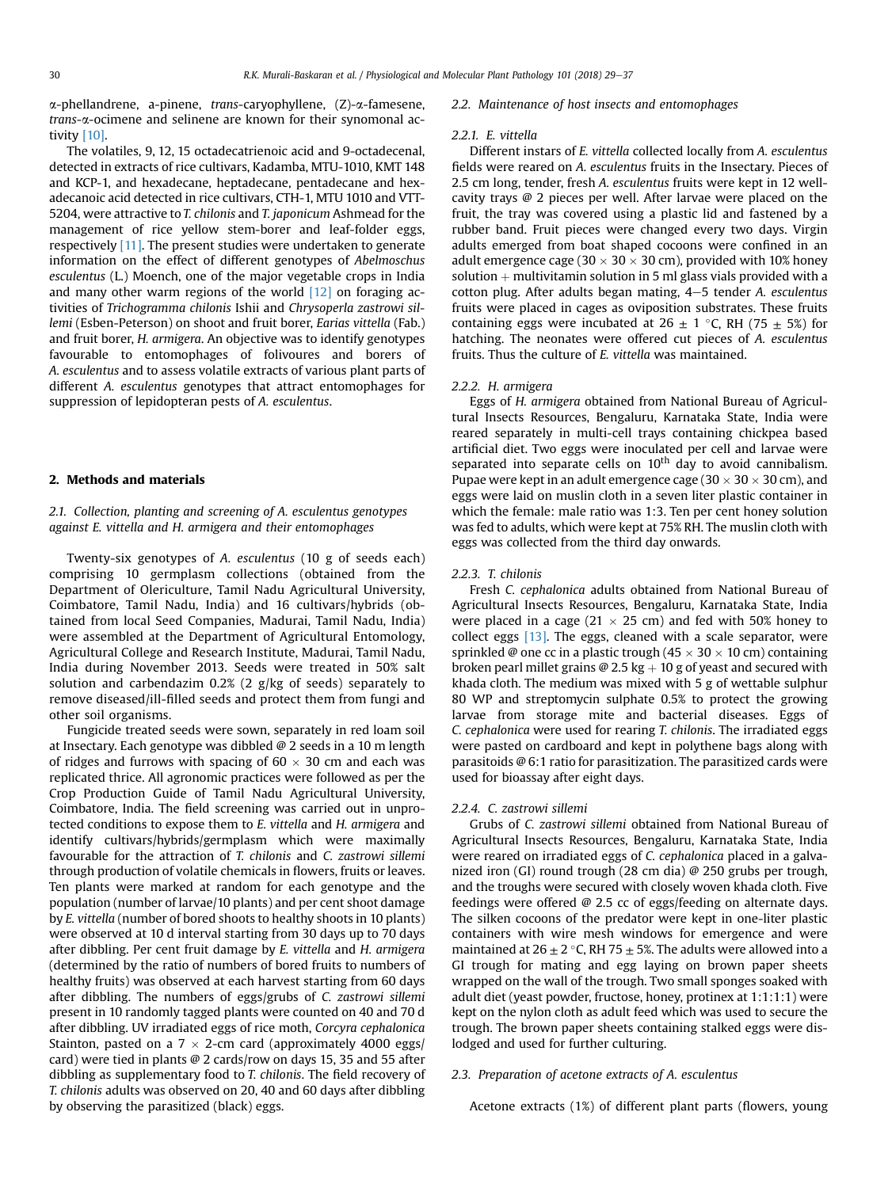$\alpha$ -phellandrene, a-pinene, *trans*-caryophyllene,  $(Z)$ - $\alpha$ -famesene, trans-a-ocimene and selinene are known for their synomonal activity [\[10\].](#page-7-0)

The volatiles, 9, 12, 15 octadecatrienoic acid and 9-octadecenal, detected in extracts of rice cultivars, Kadamba, MTU-1010, KMT 148 and KCP-1, and hexadecane, heptadecane, pentadecane and hexadecanoic acid detected in rice cultivars, CTH-1, MTU 1010 and VTT-5204, were attractive to T. chilonis and T. japonicum Ashmead for the management of rice yellow stem-borer and leaf-folder eggs, respectively [\[11\].](#page-7-0) The present studies were undertaken to generate information on the effect of different genotypes of Abelmoschus esculentus (L.) Moench, one of the major vegetable crops in India and many other warm regions of the world  $[12]$  on foraging activities of Trichogramma chilonis Ishii and Chrysoperla zastrowi sillemi (Esben-Peterson) on shoot and fruit borer, Earias vittella (Fab.) and fruit borer, H. armigera. An objective was to identify genotypes favourable to entomophages of folivoures and borers of A. esculentus and to assess volatile extracts of various plant parts of different A. esculentus genotypes that attract entomophages for suppression of lepidopteran pests of A. esculentus.

# 2. Methods and materials

# 2.1. Collection, planting and screening of A. esculentus genotypes against E. vittella and H. armigera and their entomophages

Twenty-six genotypes of A. esculentus (10 g of seeds each) comprising 10 germplasm collections (obtained from the Department of Olericulture, Tamil Nadu Agricultural University, Coimbatore, Tamil Nadu, India) and 16 cultivars/hybrids (obtained from local Seed Companies, Madurai, Tamil Nadu, India) were assembled at the Department of Agricultural Entomology, Agricultural College and Research Institute, Madurai, Tamil Nadu, India during November 2013. Seeds were treated in 50% salt solution and carbendazim 0.2% (2 g/kg of seeds) separately to remove diseased/ill-filled seeds and protect them from fungi and other soil organisms.

Fungicide treated seeds were sown, separately in red loam soil at Insectary. Each genotype was dibbled @ 2 seeds in a 10 m length of ridges and furrows with spacing of 60  $\times$  30 cm and each was replicated thrice. All agronomic practices were followed as per the Crop Production Guide of Tamil Nadu Agricultural University, Coimbatore, India. The field screening was carried out in unprotected conditions to expose them to E. vittella and H. armigera and identify cultivars/hybrids/germplasm which were maximally favourable for the attraction of T. chilonis and C. zastrowi sillemi through production of volatile chemicals in flowers, fruits or leaves. Ten plants were marked at random for each genotype and the population (number of larvae/10 plants) and per cent shoot damage by E. vittella (number of bored shoots to healthy shoots in 10 plants) were observed at 10 d interval starting from 30 days up to 70 days after dibbling. Per cent fruit damage by E. vittella and H. armigera (determined by the ratio of numbers of bored fruits to numbers of healthy fruits) was observed at each harvest starting from 60 days after dibbling. The numbers of eggs/grubs of C. zastrowi sillemi present in 10 randomly tagged plants were counted on 40 and 70 d after dibbling. UV irradiated eggs of rice moth, Corcyra cephalonica Stainton, pasted on a  $7 \times 2$ -cm card (approximately 4000 eggs/ card) were tied in plants @ 2 cards/row on days 15, 35 and 55 after dibbling as supplementary food to T. chilonis. The field recovery of T. chilonis adults was observed on 20, 40 and 60 days after dibbling by observing the parasitized (black) eggs.

#### 2.2. Maintenance of host insects and entomophages

#### 2.2.1. E. vittella

Different instars of E. vittella collected locally from A. esculentus fields were reared on A. esculentus fruits in the Insectary. Pieces of 2.5 cm long, tender, fresh A. esculentus fruits were kept in 12 wellcavity trays @ 2 pieces per well. After larvae were placed on the fruit, the tray was covered using a plastic lid and fastened by a rubber band. Fruit pieces were changed every two days. Virgin adults emerged from boat shaped cocoons were confined in an adult emergence cage (30  $\times$  30  $\times$  30 cm), provided with 10% honey solution  $+$  multivitamin solution in 5 ml glass vials provided with a cotton plug. After adults began mating, 4-5 tender A. esculentus fruits were placed in cages as oviposition substrates. These fruits containing eggs were incubated at  $26 \pm 1$  °C, RH (75  $\pm$  5%) for hatching. The neonates were offered cut pieces of A. esculentus fruits. Thus the culture of E. vittella was maintained.

## 2.2.2. H. armigera

Eggs of H. armigera obtained from National Bureau of Agricultural Insects Resources, Bengaluru, Karnataka State, India were reared separately in multi-cell trays containing chickpea based artificial diet. Two eggs were inoculated per cell and larvae were separated into separate cells on  $10<sup>th</sup>$  day to avoid cannibalism. Pupae were kept in an adult emergence cage (30  $\times$  30  $\times$  30 cm), and eggs were laid on muslin cloth in a seven liter plastic container in which the female: male ratio was 1:3. Ten per cent honey solution was fed to adults, which were kept at 75% RH. The muslin cloth with eggs was collected from the third day onwards.

#### 2.2.3. T. chilonis

Fresh C. cephalonica adults obtained from National Bureau of Agricultural Insects Resources, Bengaluru, Karnataka State, India were placed in a cage (21  $\times$  25 cm) and fed with 50% honey to collect eggs  $[13]$ . The eggs, cleaned with a scale separator, were sprinkled @ one cc in a plastic trough (45  $\times$  30  $\times$  10 cm) containing broken pearl millet grains  $\omega$  2.5 kg + 10 g of yeast and secured with khada cloth. The medium was mixed with 5 g of wettable sulphur 80 WP and streptomycin sulphate 0.5% to protect the growing larvae from storage mite and bacterial diseases. Eggs of C. cephalonica were used for rearing T. chilonis. The irradiated eggs were pasted on cardboard and kept in polythene bags along with parasitoids @ 6:1 ratio for parasitization. The parasitized cards were used for bioassay after eight days.

#### 2.2.4. C. zastrowi sillemi

Grubs of C. zastrowi sillemi obtained from National Bureau of Agricultural Insects Resources, Bengaluru, Karnataka State, India were reared on irradiated eggs of C. cephalonica placed in a galvanized iron (GI) round trough (28 cm dia) @ 250 grubs per trough, and the troughs were secured with closely woven khada cloth. Five feedings were offered @ 2.5 cc of eggs/feeding on alternate days. The silken cocoons of the predator were kept in one-liter plastic containers with wire mesh windows for emergence and were maintained at  $26 \pm 2$  °C, RH 75  $\pm$  5%. The adults were allowed into a GI trough for mating and egg laying on brown paper sheets wrapped on the wall of the trough. Two small sponges soaked with adult diet (yeast powder, fructose, honey, protinex at 1:1:1:1) were kept on the nylon cloth as adult feed which was used to secure the trough. The brown paper sheets containing stalked eggs were dislodged and used for further culturing.

## 2.3. Preparation of acetone extracts of A. esculentus

Acetone extracts (1%) of different plant parts (flowers, young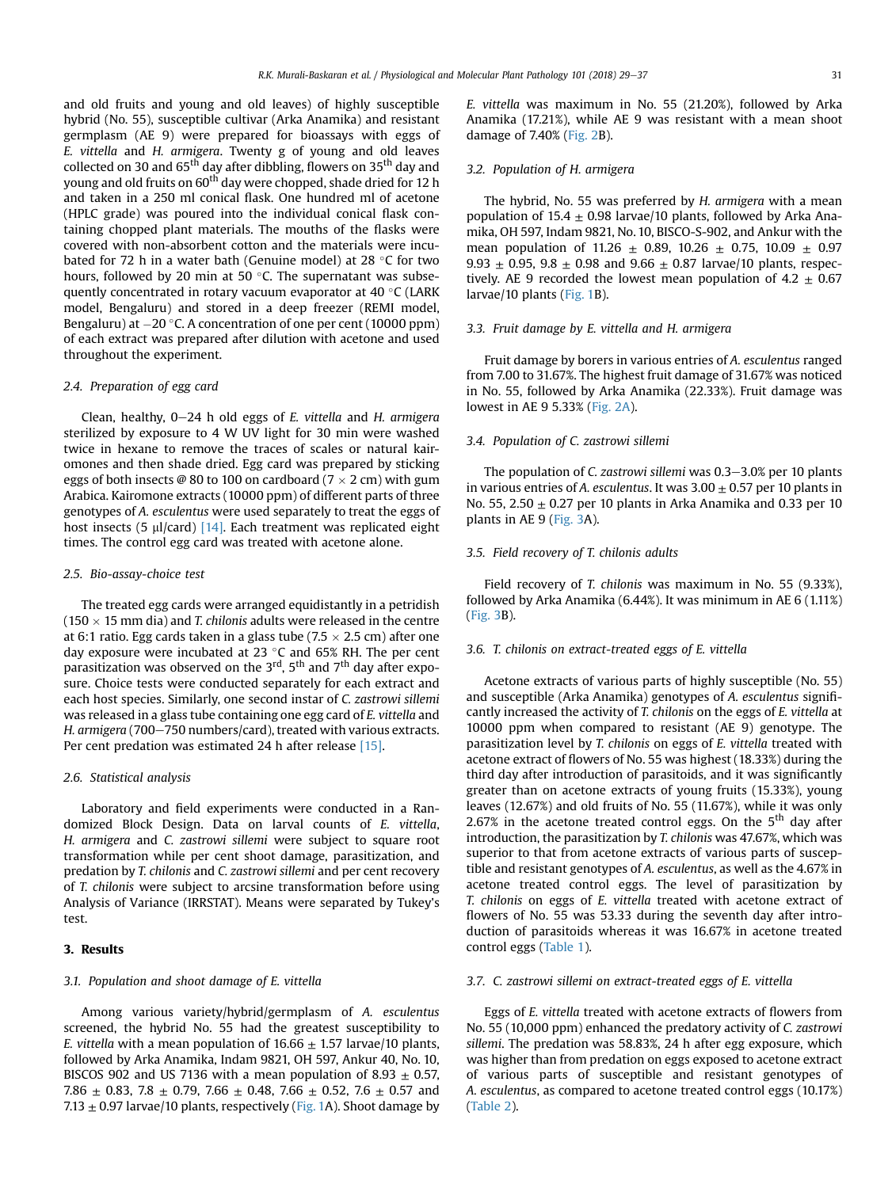and old fruits and young and old leaves) of highly susceptible hybrid (No. 55), susceptible cultivar (Arka Anamika) and resistant germplasm (AE 9) were prepared for bioassays with eggs of E. vittella and H. armigera. Twenty g of young and old leaves collected on 30 and 65<sup>th</sup> day after dibbling, flowers on 35<sup>th</sup> day and young and old fruits on 60<sup>th</sup> day were chopped, shade dried for 12 h and taken in a 250 ml conical flask. One hundred ml of acetone (HPLC grade) was poured into the individual conical flask containing chopped plant materials. The mouths of the flasks were covered with non-absorbent cotton and the materials were incubated for 72 h in a water bath (Genuine model) at 28  $\degree$ C for two hours, followed by 20 min at 50 $\degree$ C. The supernatant was subsequently concentrated in rotary vacuum evaporator at  $40 °C$  (LARK model, Bengaluru) and stored in a deep freezer (REMI model, Bengaluru) at  $-20$  °C. A concentration of one per cent (10000 ppm) of each extract was prepared after dilution with acetone and used throughout the experiment.

#### 2.4. Preparation of egg card

Clean, healthy,  $0-24$  h old eggs of E. vittella and H. armigera sterilized by exposure to 4 W UV light for 30 min were washed twice in hexane to remove the traces of scales or natural kairomones and then shade dried. Egg card was prepared by sticking eggs of both insects @ 80 to 100 on cardboard (7  $\times$  2 cm) with gum Arabica. Kairomone extracts (10000 ppm) of different parts of three genotypes of A. esculentus were used separately to treat the eggs of host insects (5  $\mu$ l/card) [\[14\].](#page-7-0) Each treatment was replicated eight times. The control egg card was treated with acetone alone.

#### 2.5. Bio-assay-choice test

The treated egg cards were arranged equidistantly in a petridish (150  $\times$  15 mm dia) and *T. chilonis* adults were released in the centre at 6:1 ratio. Egg cards taken in a glass tube (7.5  $\times$  2.5 cm) after one day exposure were incubated at 23  $\degree$ C and 65% RH. The per cent parasitization was observed on the  $3<sup>rd</sup>$ ,  $5<sup>th</sup>$  and  $7<sup>th</sup>$  day after exposure. Choice tests were conducted separately for each extract and each host species. Similarly, one second instar of C. zastrowi sillemi was released in a glass tube containing one egg card of E. vittella and H. armigera (700-750 numbers/card), treated with various extracts. Per cent predation was estimated 24 h after release [\[15\]](#page-7-0).

#### 2.6. Statistical analysis

Laboratory and field experiments were conducted in a Randomized Block Design. Data on larval counts of E. vittella, H. armigera and C. zastrowi sillemi were subject to square root transformation while per cent shoot damage, parasitization, and predation by T. chilonis and C. zastrowi sillemi and per cent recovery of T. chilonis were subject to arcsine transformation before using Analysis of Variance (IRRSTAT). Means were separated by Tukey's test.

### 3. Results

#### 3.1. Population and shoot damage of E. vittella

Among various variety/hybrid/germplasm of A. esculentus screened, the hybrid No. 55 had the greatest susceptibility to E. vittella with a mean population of  $16.66 \pm 1.57$  larvae/10 plants, followed by Arka Anamika, Indam 9821, OH 597, Ankur 40, No. 10, BISCOS 902 and US 7136 with a mean population of 8.93  $\pm$  0.57, 7.86  $\pm$  0.83, 7.8  $\pm$  0.79, 7.66  $\pm$  0.48, 7.66  $\pm$  0.52, 7.6  $\pm$  0.57 and 7.13  $\pm$  0.97 larvae/10 plants, respectively [\(Fig. 1](#page-3-0)A). Shoot damage by E. vittella was maximum in No. 55 (21.20%), followed by Arka Anamika (17.21%), while AE 9 was resistant with a mean shoot damage of 7.40% ([Fig. 2B](#page-4-0)).

### 3.2. Population of H. armigera

The hybrid, No. 55 was preferred by H. armigera with a mean population of  $15.4 \pm 0.98$  larvae/10 plants, followed by Arka Anamika, OH 597, Indam 9821, No. 10, BISCO-S-902, and Ankur with the mean population of 11.26  $\pm$  0.89, 10.26  $\pm$  0.75, 10.09  $\pm$  0.97 9.93  $\pm$  0.95, 9.8  $\pm$  0.98 and 9.66  $\pm$  0.87 larvae/10 plants, respectively. AE 9 recorded the lowest mean population of 4.2  $\pm$  0.67 larvae/10 plants [\(Fig. 1B](#page-3-0)).

### 3.3. Fruit damage by E. vittella and H. armigera

Fruit damage by borers in various entries of A. esculentus ranged from 7.00 to 31.67%. The highest fruit damage of 31.67% was noticed in No. 55, followed by Arka Anamika (22.33%). Fruit damage was lowest in AE 9 5.33% [\(Fig. 2A\)](#page-4-0).

#### 3.4. Population of C. zastrowi sillemi

The population of C. zastrowi sillemi was  $0.3-3.0\%$  per 10 plants in various entries of A. esculentus. It was  $3.00 \pm 0.57$  per 10 plants in No. 55, 2.50  $\pm$  0.27 per 10 plants in Arka Anamika and 0.33 per 10 plants in AE 9 ([Fig. 3](#page-5-0)A).

## 3.5. Field recovery of T. chilonis adults

Field recovery of T. chilonis was maximum in No. 55 (9.33%), followed by Arka Anamika (6.44%). It was minimum in AE 6 (1.11%) ([Fig. 3B](#page-5-0)).

# 3.6. T. chilonis on extract-treated eggs of E. vittella

Acetone extracts of various parts of highly susceptible (No. 55) and susceptible (Arka Anamika) genotypes of A. esculentus significantly increased the activity of T. chilonis on the eggs of E. vittella at 10000 ppm when compared to resistant (AE 9) genotype. The parasitization level by T. chilonis on eggs of E. vittella treated with acetone extract of flowers of No. 55 was highest (18.33%) during the third day after introduction of parasitoids, and it was significantly greater than on acetone extracts of young fruits (15.33%), young leaves (12.67%) and old fruits of No. 55 (11.67%), while it was only 2.67% in the acetone treated control eggs. On the  $5<sup>th</sup>$  day after introduction, the parasitization by T. chilonis was 47.67%, which was superior to that from acetone extracts of various parts of susceptible and resistant genotypes of A. esculentus, as well as the 4.67% in acetone treated control eggs. The level of parasitization by T. chilonis on eggs of E. vittella treated with acetone extract of flowers of No. 55 was 53.33 during the seventh day after introduction of parasitoids whereas it was 16.67% in acetone treated control eggs [\(Table 1](#page-6-0)).

## 3.7. C. zastrowi sillemi on extract-treated eggs of E. vittella

Eggs of E. vittella treated with acetone extracts of flowers from No. 55 (10,000 ppm) enhanced the predatory activity of C. zastrowi sillemi. The predation was 58.83%, 24 h after egg exposure, which was higher than from predation on eggs exposed to acetone extract of various parts of susceptible and resistant genotypes of A. esculentus, as compared to acetone treated control eggs (10.17%) ([Table 2\)](#page-6-0).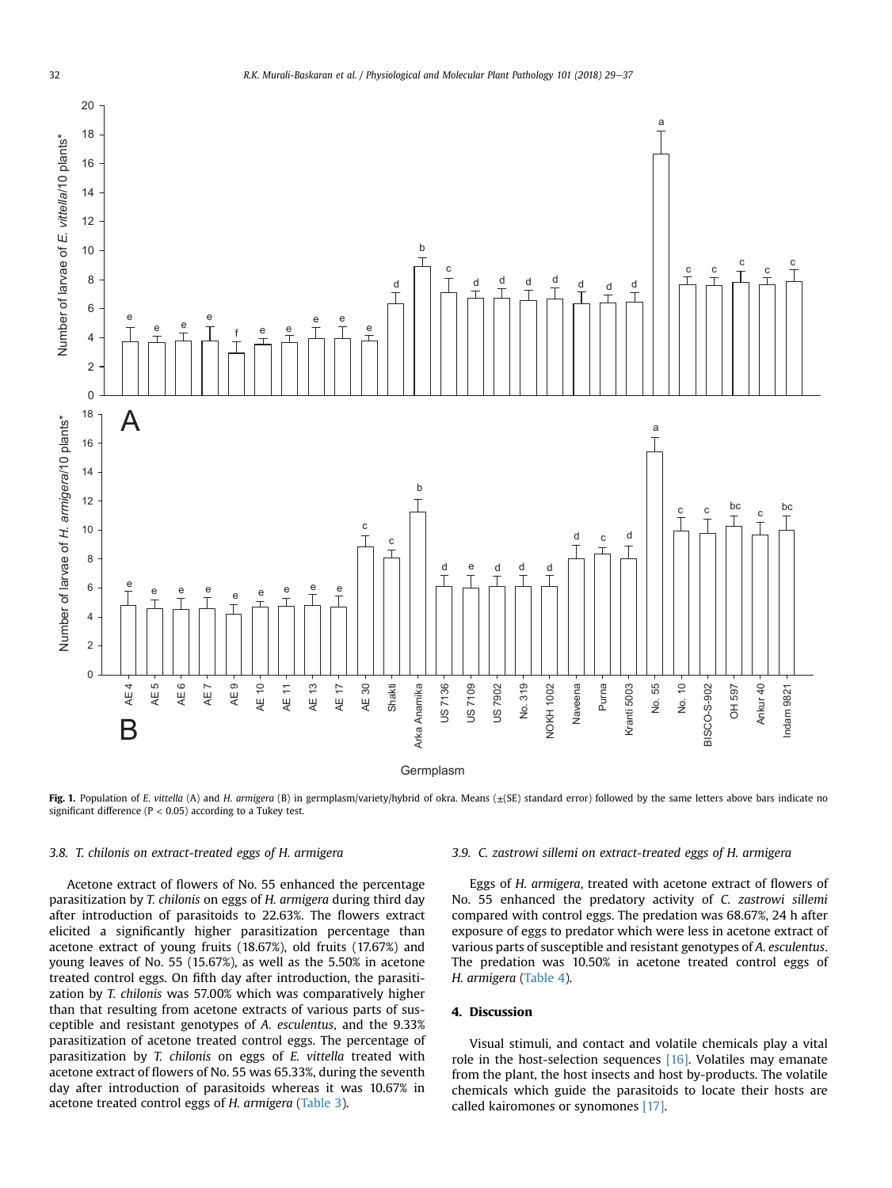<span id="page-3-0"></span>

Fig. 1. Population of E. vittella (A) and H. armigera (B) in germplasm/variety/hybrid of okra. Means (±(SE) standard error) followed by the same letters above bars indicate no significant difference ( $P < 0.05$ ) according to a Tukey test.

## 3.8. T. chilonis on extract-treated eggs of H. armigera

Acetone extract of flowers of No. 55 enhanced the percentage parasitization by T. chilonis on eggs of H. armigera during third day after introduction of parasitoids to 22.63%. The flowers extract elicited a significantly higher parasitization percentage than acetone extract of young fruits (18.67%), old fruits (17.67%) and young leaves of No. 55 (15.67%), as well as the 5.50% in acetone treated control eggs. On fifth day after introduction, the parasitization by T. chilonis was 57.00% which was comparatively higher than that resulting from acetone extracts of various parts of susceptible and resistant genotypes of A. esculentus, and the 9.33% parasitization of acetone treated control eggs. The percentage of parasitization by T. chilonis on eggs of E. vittella treated with acetone extract of flowers of No. 55 was 65.33%, during the seventh day after introduction of parasitoids whereas it was 10.67% in acetone treated control eggs of H. armigera [\(Table 3](#page-6-0)).

## 3.9. C. zastrowi sillemi on extract-treated eggs of H. armigera

Eggs of H. armigera, treated with acetone extract of flowers of No. 55 enhanced the predatory activity of C. zastrowi sillemi compared with control eggs. The predation was 68.67%, 24 h after exposure of eggs to predator which were less in acetone extract of various parts of susceptible and resistant genotypes of A. esculentus. The predation was 10.50% in acetone treated control eggs of H. armigera [\(Table 4](#page-6-0)).

# 4. Discussion

Visual stimuli, and contact and volatile chemicals play a vital role in the host-selection sequences [\[16\].](#page-7-0) Volatiles may emanate from the plant, the host insects and host by-products. The volatile chemicals which guide the parasitoids to locate their hosts are called kairomones or synomones [\[17\].](#page-7-0)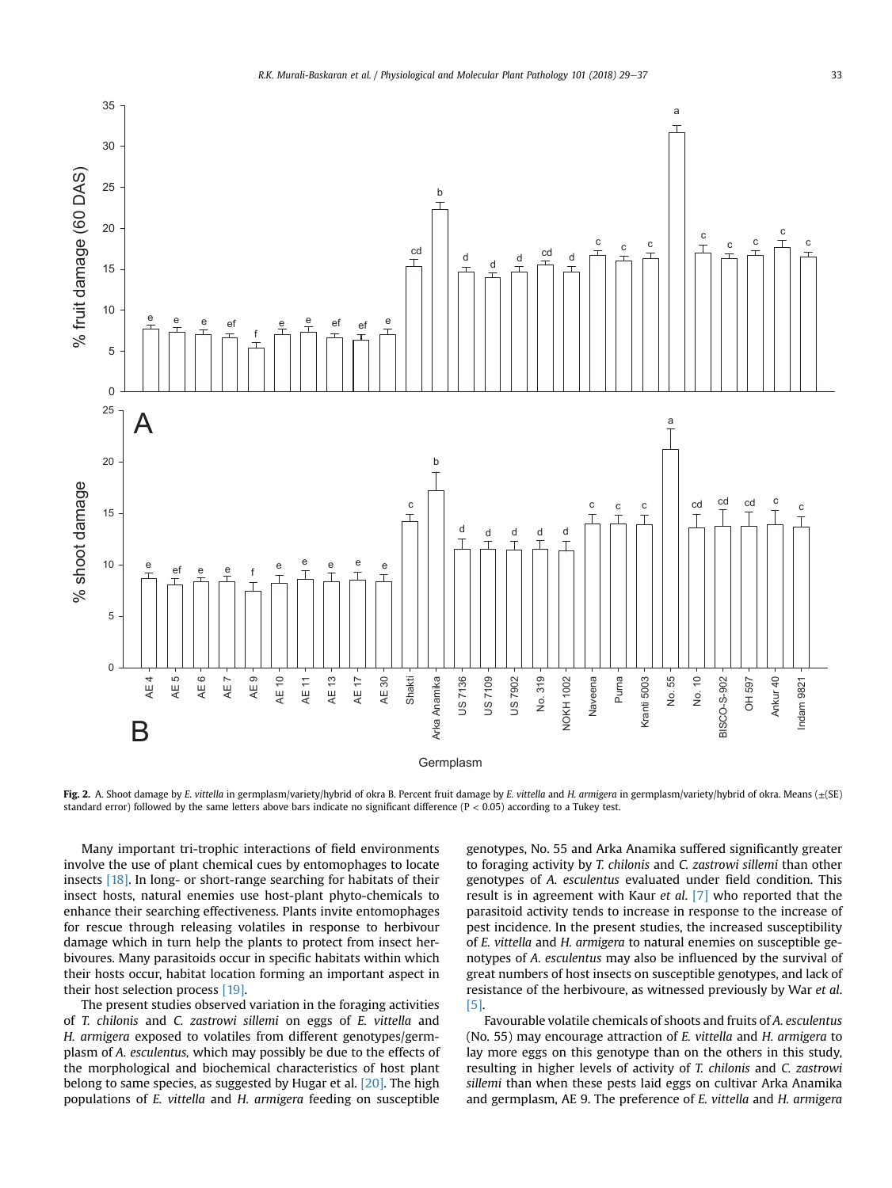<span id="page-4-0"></span>

Fig. 2. A. Shoot damage by E. vittella in germplasm/variety/hybrid of okra B. Percent fruit damage by E. vittella and H. armigera in germplasm/variety/hybrid of okra. Means  $(\pm(SE))$ standard error) followed by the same letters above bars indicate no significant difference (P < 0.05) according to a Tukey test.

Many important tri-trophic interactions of field environments involve the use of plant chemical cues by entomophages to locate insects [\[18\].](#page-7-0) In long- or short-range searching for habitats of their insect hosts, natural enemies use host-plant phyto-chemicals to enhance their searching effectiveness. Plants invite entomophages for rescue through releasing volatiles in response to herbivour damage which in turn help the plants to protect from insect herbivoures. Many parasitoids occur in specific habitats within which their hosts occur, habitat location forming an important aspect in their host selection process [\[19\]](#page-7-0).

The present studies observed variation in the foraging activities of T. chilonis and C. zastrowi sillemi on eggs of E. vittella and H. armigera exposed to volatiles from different genotypes/germplasm of A. esculentus, which may possibly be due to the effects of the morphological and biochemical characteristics of host plant belong to same species, as suggested by Hugar et al. [\[20\]](#page-7-0). The high populations of E. vittella and H. armigera feeding on susceptible genotypes, No. 55 and Arka Anamika suffered significantly greater to foraging activity by T. chilonis and C. zastrowi sillemi than other genotypes of A. esculentus evaluated under field condition. This result is in agreement with Kaur et al. [\[7\]](#page-7-0) who reported that the parasitoid activity tends to increase in response to the increase of pest incidence. In the present studies, the increased susceptibility of E. vittella and H. armigera to natural enemies on susceptible genotypes of A. esculentus may also be influenced by the survival of great numbers of host insects on susceptible genotypes, and lack of resistance of the herbivoure, as witnessed previously by War et al. [\[5\]](#page-7-0).

Favourable volatile chemicals of shoots and fruits of A. esculentus (No. 55) may encourage attraction of E. vittella and H. armigera to lay more eggs on this genotype than on the others in this study, resulting in higher levels of activity of T. chilonis and C. zastrowi sillemi than when these pests laid eggs on cultivar Arka Anamika and germplasm, AE 9. The preference of E. vittella and H. armigera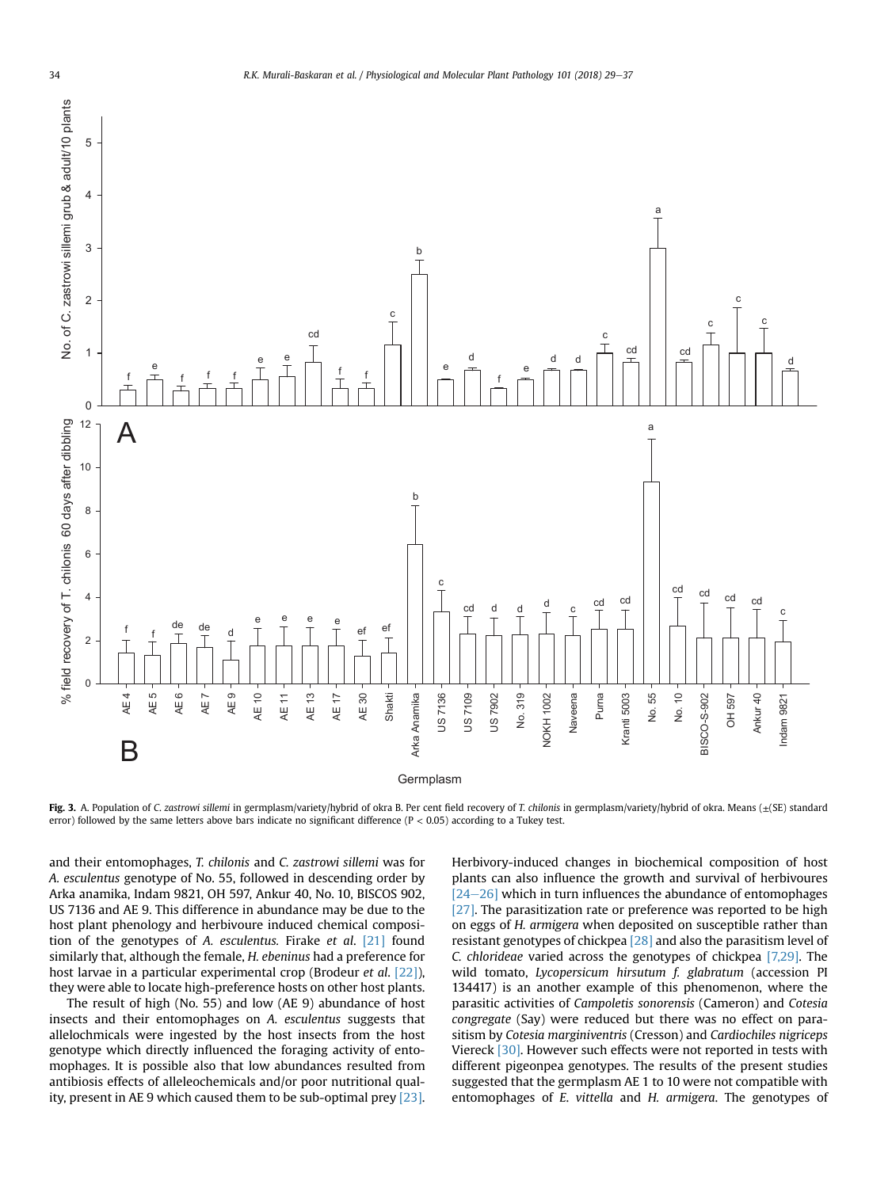<span id="page-5-0"></span>

Fig. 3. A. Population of C. zastrowi sillemi in germplasm/variety/hybrid of okra B. Per cent field recovery of T. chilonis in germplasm/variety/hybrid of okra. Means (±(SE) standard error) followed by the same letters above bars indicate no significant difference ( $P < 0.05$ ) according to a Tukey test.

and their entomophages, T. chilonis and C. zastrowi sillemi was for A. esculentus genotype of No. 55, followed in descending order by Arka anamika, Indam 9821, OH 597, Ankur 40, No. 10, BISCOS 902, US 7136 and AE 9. This difference in abundance may be due to the host plant phenology and herbivoure induced chemical composition of the genotypes of A. esculentus. Firake et al. [\[21\]](#page-7-0) found similarly that, although the female, H. ebeninus had a preference for host larvae in a particular experimental crop (Brodeur *et al.* [\[22\]\)](#page-7-0), they were able to locate high-preference hosts on other host plants.

The result of high (No. 55) and low (AE 9) abundance of host insects and their entomophages on A. esculentus suggests that allelochmicals were ingested by the host insects from the host genotype which directly influenced the foraging activity of entomophages. It is possible also that low abundances resulted from antibiosis effects of alleleochemicals and/or poor nutritional quality, present in AE 9 which caused them to be sub-optimal prey [\[23\].](#page-7-0) Herbivory-induced changes in biochemical composition of host plants can also influence the growth and survival of herbivoures  $[24–26]$  $[24–26]$  $[24–26]$  which in turn influences the abundance of entomophages [\[27\].](#page-7-0) The parasitization rate or preference was reported to be high on eggs of H. armigera when deposited on susceptible rather than resistant genotypes of chickpea [\[28\]](#page-7-0) and also the parasitism level of C. chlorideae varied across the genotypes of chickpea [\[7,29\].](#page-7-0) The wild tomato, *Lycopersicum hirsutum f. glabratum* (accession PI 134417) is an another example of this phenomenon, where the parasitic activities of Campoletis sonorensis (Cameron) and Cotesia congregate (Say) were reduced but there was no effect on parasitism by Cotesia marginiventris (Cresson) and Cardiochiles nigriceps Viereck [\[30\].](#page-8-0) However such effects were not reported in tests with different pigeonpea genotypes. The results of the present studies suggested that the germplasm AE 1 to 10 were not compatible with entomophages of E. vittella and H. armigera. The genotypes of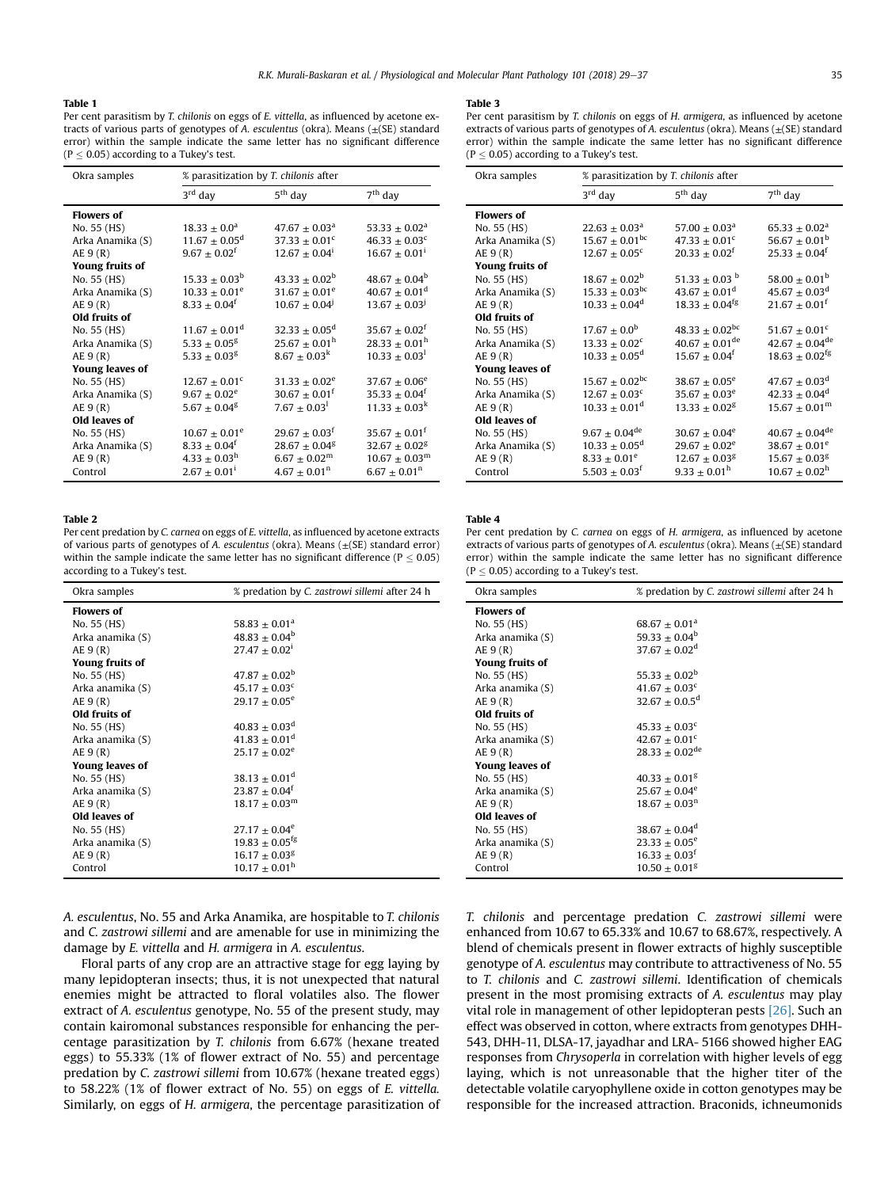#### <span id="page-6-0"></span>Table 1

Per cent parasitism by T. chilonis on eggs of E. vittella, as influenced by acetone extracts of various parts of genotypes of A. esculentus (okra). Means  $(\pm$ (SE) standard error) within the sample indicate the same letter has no significant difference  $(P < 0.05)$  according to a Tukey's test.

| Okra samples           | % parasitization by T. chilonis after |                               |                               |
|------------------------|---------------------------------------|-------------------------------|-------------------------------|
|                        | $3rd$ day                             | 5 <sup>th</sup> day           | $7th$ day                     |
| <b>Flowers of</b>      |                                       |                               |                               |
| No. 55 (HS)            | $18.33 \pm 0.0^a$                     | $47.67 \pm 0.03^{\text{a}}$   | $53.33 \pm 0.02^{\text{a}}$   |
| Arka Anamika (S)       | $11.67 \pm 0.05^{\rm d}$              | 37.33 $\pm$ 0.01 <sup>c</sup> | $46.33 \pm 0.03$ <sup>c</sup> |
| AE 9(R)                | $9.67 \pm 0.02$ <sup>f</sup>          | $12.67 \pm 0.04^1$            | $16.67 \pm 0.01^1$            |
| Young fruits of        |                                       |                               |                               |
| No. 55 (HS)            | $15.33 \pm 0.03^{\rm b}$              | $43.33 \pm 0.02^b$            | $48.67 \pm 0.04^b$            |
| Arka Anamika (S)       | $10.33 \pm 0.01^e$                    | $31.67 \pm 0.01^e$            | $40.67 \pm 0.01$ <sup>d</sup> |
| AE 9(R)                | $8.33 \pm 0.04^{\dagger}$             | $10.67 \pm 0.04$ <sup>J</sup> | $13.67 \pm 0.03$ <sup>J</sup> |
| Old fruits of          |                                       |                               |                               |
| No. 55 (HS)            | $11.67 \pm 0.01$ <sup>d</sup>         | $32.33 \pm 0.05^d$            | $35.67 \pm 0.02^t$            |
| Arka Anamika (S)       | $5.33 \pm 0.05$ <sup>g</sup>          | $25.67 \pm 0.01^{\rm h}$      | $28.33 \pm 0.01^{\rm h}$      |
| AE 9(R)                | $5.33 \pm 0.03$ <sup>g</sup>          | $8.67 \pm 0.03^k$             | $10.33 + 0.03^{\text{l}}$     |
| <b>Young leaves of</b> |                                       |                               |                               |
| No. 55 (HS)            | $12.67 \pm 0.01^c$                    | $31.33 \pm 0.02^e$            | $37.67 \pm 0.06^e$            |
| Arka Anamika (S)       | $9.67 \pm 0.02^e$                     | $30.67 \pm 0.01^{\text{f}}$   | $35.33 + 0.04^f$              |
| AE 9(R)                | $5.67 \pm 0.04$ <sup>g</sup>          | $7.67 \pm 0.03^1$             | $11.33 \pm 0.03^k$            |
| Old leaves of          |                                       |                               |                               |
| No. 55 (HS)            | $10.67 \pm 0.01^e$                    | $29.67 \pm 0.03^{\dagger}$    | $35.67 \pm 0.01^{\dagger}$    |
| Arka Anamika (S)       | $8.33 \pm 0.04$ <sup>f</sup>          | $28.67 \pm 0.04$ <sup>g</sup> | $32.67 \pm 0.02$ <sup>g</sup> |
| AE 9(R)                | $4.33 \pm 0.03^{\rm h}$               | $6.67 \pm 0.02^{\rm m}$       | $10.67 \pm 0.03^{\rm m}$      |
| Control                | $2.67 \pm 0.01^1$                     | $4.67 \pm 0.01$ <sup>n</sup>  | $6.67 \pm 0.01$ <sup>n</sup>  |

#### Table 2

Per cent predation by C. carnea on eggs of E. vittella, as influenced by acetone extracts of various parts of genotypes of A. esculentus (okra). Means  $(\pm$ (SE) standard error) within the sample indicate the same letter has no significant difference ( $P \le 0.05$ ) according to a Tukey's test.

| Okra samples      | % predation by C. zastrowi sillemi after 24 h |
|-------------------|-----------------------------------------------|
| <b>Flowers of</b> |                                               |
| No. 55 (HS)       | $58.83 \pm 0.01$ <sup>a</sup>                 |
| Arka anamika (S)  | $48.83 \pm 0.04^b$                            |
| AE 9(R)           | $27.47 \pm 0.02^1$                            |
| Young fruits of   |                                               |
| No. 55 (HS)       | $47.87 \pm 0.02^{\rm b}$                      |
| Arka anamika (S)  | $45.17 \pm 0.03$ <sup>c</sup>                 |
| AE 9(R)           | $29.17 \pm 0.05^e$                            |
| Old fruits of     |                                               |
| No. 55 (HS)       | $40.83 \pm 0.03$ <sup>d</sup>                 |
| Arka anamika (S)  | $41.83 \pm 0.01$ <sup>d</sup>                 |
| AE 9(R)           | $25.17 \pm 0.02^e$                            |
| Young leaves of   |                                               |
| No. 55 (HS)       | $38.13 \pm 0.01$ <sup>d</sup>                 |
| Arka anamika (S)  | $23.87 \pm 0.04$ <sup>f</sup>                 |
| AE 9(R)           | $18.17 \pm 0.03^{\rm m}$                      |
| Old leaves of     |                                               |
| No. 55 (HS)       | $27.17 \pm 0.04^e$                            |
| Arka anamika (S)  | $19.83 \pm 0.05^{\text{fg}}$                  |
| AE 9(R)           | $16.17 \pm 0.03$ <sup>g</sup>                 |
| Control           | $10.17 \pm 0.01^{\rm h}$                      |

A. esculentus, No. 55 and Arka Anamika, are hospitable to T. chilonis and C. zastrowi sillemi and are amenable for use in minimizing the damage by E. vittella and H. armigera in A. esculentus.

Floral parts of any crop are an attractive stage for egg laying by many lepidopteran insects; thus, it is not unexpected that natural enemies might be attracted to floral volatiles also. The flower extract of A. esculentus genotype, No. 55 of the present study, may contain kairomonal substances responsible for enhancing the percentage parasitization by T. chilonis from 6.67% (hexane treated eggs) to 55.33% (1% of flower extract of No. 55) and percentage predation by C. zastrowi sillemi from 10.67% (hexane treated eggs) to 58.22% (1% of flower extract of No. 55) on eggs of E. vittella. Similarly, on eggs of H. armigera, the percentage parasitization of

#### Table 3

| Okra samples           | % parasitization by T. chilonis after |                                |                                |
|------------------------|---------------------------------------|--------------------------------|--------------------------------|
|                        | $3rd$ day                             | $5th$ day                      | $7th$ day                      |
| <b>Flowers of</b>      |                                       |                                |                                |
| No. 55 (HS)            | $22.63 \pm 0.03^{\text{a}}$           | $57.00 \pm 0.03^{\text{a}}$    | $65.33 \pm 0.02^{\text{a}}$    |
| Arka Anamika (S)       | $15.67 \pm 0.01$ <sup>bc</sup>        | $47.33 \pm 0.01^c$             | 56.67 $\pm$ 0.01 <sup>b</sup>  |
| AE 9(R)                | $12.67 \pm 0.05^c$                    | $20.33 \pm 0.02^f$             | $25.33 + 0.04^f$               |
| Young fruits of        |                                       |                                |                                |
| No. 55 (HS)            | $18.67 \pm 0.02^b$                    | 51.33 $\pm$ 0.03 <sup>b</sup>  | 58.00 $\pm$ 0.01 <sup>b</sup>  |
| Arka Anamika (S)       | $15.33 \pm 0.03$ <sup>bc</sup>        | $43.67 \pm 0.01$ <sup>d</sup>  | $45.67 \pm 0.03^{\rm d}$       |
| AE 9(R)                | $10.33 \pm 0.04^d$                    | $18.33 + 0.04$ <sup>fg</sup>   | $21.67 \pm 0.01^{\text{f}}$    |
| Old fruits of          |                                       |                                |                                |
| No. 55 (HS)            | $17.67 \pm 0.0^{\rm b}$               | 48.33 $\pm$ 0.02 <sup>bc</sup> | $51.67 \pm 0.01^c$             |
| Arka Anamika (S)       | $13.33 \pm 0.02^c$                    | $40.67 \pm 0.01^{\text{de}}$   | $42.67 \pm 0.04^{\text{de}}$   |
| AE 9(R)                | $10.33 \pm 0.05^d$                    | $15.67 \pm 0.04^f$             | $18.63 \pm 0.02$ <sup>fg</sup> |
| <b>Young leaves of</b> |                                       |                                |                                |
| No. 55 (HS)            | $15.67 \pm 0.02$ <sup>bc</sup>        | $38.67 \pm 0.05^e$             | $47.67 \pm 0.03^{\rm d}$       |
| Arka Anamika (S)       | $12.67 \pm 0.03^c$                    | $35.67 \pm 0.03^e$             | $42.33 \pm 0.04^d$             |
| AE 9(R)                | $10.33 \pm 0.01^d$                    | $13.33 \pm 0.02$ <sup>g</sup>  | $15.67 \pm 0.01^{\rm m}$       |
| Old leaves of          |                                       |                                |                                |
| No. 55 (HS)            | $9.67 \pm 0.04$ <sup>de</sup>         | $30.67 \pm 0.04^e$             | $40.67 \pm 0.04$ <sup>de</sup> |
| Arka Anamika (S)       | $10.33 \pm 0.05^{\rm d}$              | $29.67 \pm 0.02^e$             | $38.67 \pm 0.01^e$             |
| AE 9(R)                | $8.33 \pm 0.01^e$                     | $12.67 \pm 0.03$ <sup>g</sup>  | $15.67 \pm 0.03$ <sup>g</sup>  |
| Control                | $5.503 \pm 0.03^{\dagger}$            | $9.33 \pm 0.01^{\rm h}$        | $10.67 \pm 0.02^{\rm h}$       |

#### Table 4

Per cent predation by C. carnea on eggs of H. armigera, as influenced by acetone extracts of various parts of genotypes of A. esculentus (okra). Means ( $\pm$ (SE) standard error) within the sample indicate the same letter has no significant difference  $(P < 0.05)$  according to a Tukey's test.

| Okra samples      | % predation by C. zastrowi sillemi after 24 h |
|-------------------|-----------------------------------------------|
| <b>Flowers of</b> |                                               |
| No. 55 (HS)       | $68.67 \pm 0.01^a$                            |
| Arka anamika (S)  | $59.33 + 0.04^b$                              |
| AE 9(R)           | $37.67 \pm 0.02^d$                            |
| Young fruits of   |                                               |
| No. 55 (HS)       | 55.33 $\pm$ 0.02 <sup>b</sup>                 |
| Arka anamika (S)  | $41.67 \pm 0.03$ <sup>c</sup>                 |
| AE 9(R)           | $32.67 \pm 0.0.5^{\circ}$                     |
| Old fruits of     |                                               |
| No. 55 (HS)       | $45.33 \pm 0.03^c$                            |
| Arka anamika (S)  | $42.67 \pm 0.01^{\circ}$                      |
| AE 9(R)           | $28.33 \pm 0.02$ <sup>de</sup>                |
| Young leaves of   |                                               |
| No. 55 (HS)       | $40.33 \pm 0.01$ <sup>g</sup>                 |
| Arka anamika (S)  | $25.67 \pm 0.04^e$                            |
| AE 9(R)           | $18.67 \pm 0.03^{n}$                          |
| Old leaves of     |                                               |
| No. 55 (HS)       | $38.67 \pm 0.04^d$                            |
| Arka anamika (S)  | $23.33 \pm 0.05^e$                            |
| AE 9(R)           | $16.33 \pm 0.03$ <sup>f</sup>                 |
| Control           | $10.50 \pm 0.01$ <sup>g</sup>                 |

T. chilonis and percentage predation C. zastrowi sillemi were enhanced from 10.67 to 65.33% and 10.67 to 68.67%, respectively. A blend of chemicals present in flower extracts of highly susceptible genotype of A. esculentus may contribute to attractiveness of No. 55 to T. chilonis and C. zastrowi sillemi. Identification of chemicals present in the most promising extracts of A. esculentus may play vital role in management of other lepidopteran pests [\[26\].](#page-7-0) Such an effect was observed in cotton, where extracts from genotypes DHH-543, DHH-11, DLSA-17, jayadhar and LRA- 5166 showed higher EAG responses from Chrysoperla in correlation with higher levels of egg laying, which is not unreasonable that the higher titer of the detectable volatile caryophyllene oxide in cotton genotypes may be responsible for the increased attraction. Braconids, ichneumonids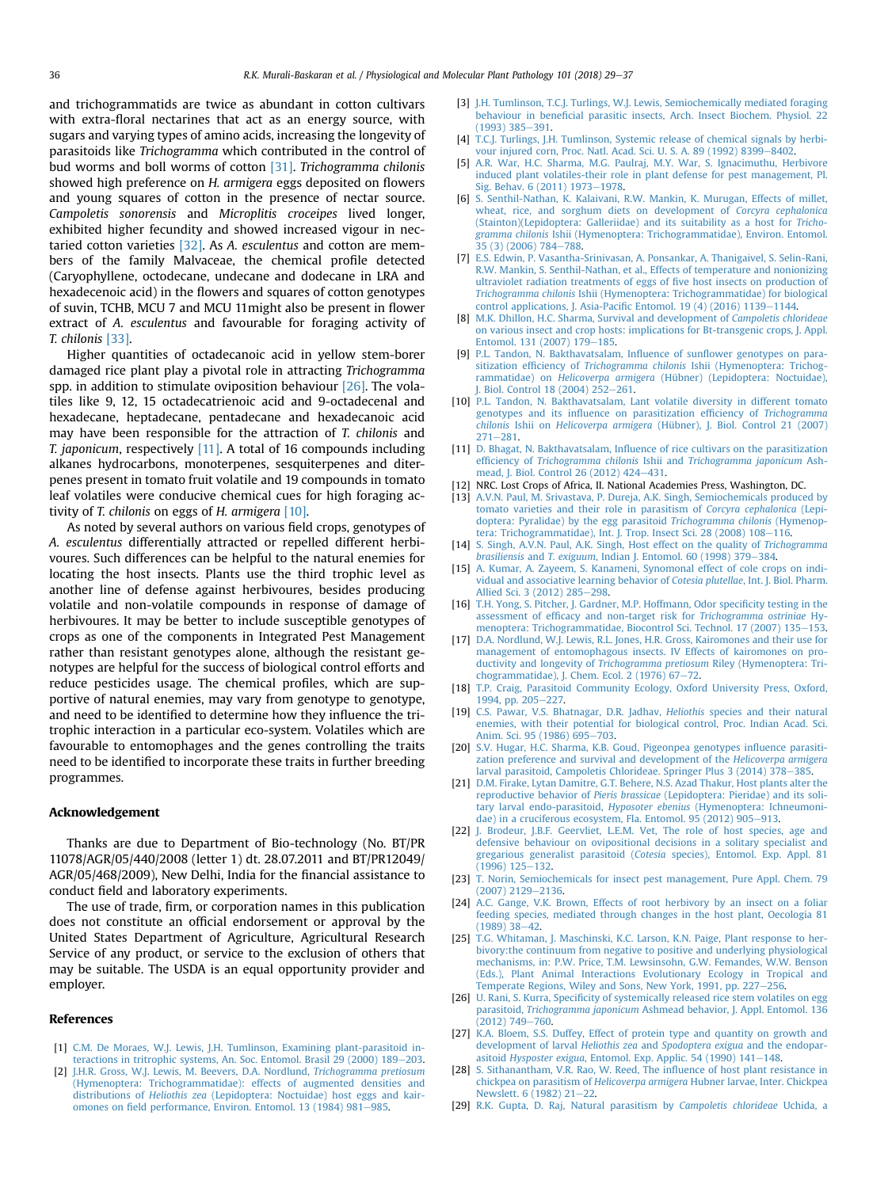<span id="page-7-0"></span>and trichogrammatids are twice as abundant in cotton cultivars with extra-floral nectarines that act as an energy source, with sugars and varying types of amino acids, increasing the longevity of parasitoids like Trichogramma which contributed in the control of bud worms and boll worms of cotton [\[31\].](#page-8-0) Trichogramma chilonis showed high preference on H. armigera eggs deposited on flowers and young squares of cotton in the presence of nectar source. Campoletis sonorensis and Microplitis croceipes lived longer, exhibited higher fecundity and showed increased vigour in nectaried cotton varieties [\[32\]](#page-8-0). As A. esculentus and cotton are members of the family Malvaceae, the chemical profile detected (Caryophyllene, octodecane, undecane and dodecane in LRA and hexadecenoic acid) in the flowers and squares of cotton genotypes of suvin, TCHB, MCU 7 and MCU 11might also be present in flower extract of A. esculentus and favourable for foraging activity of T. chilonis [\[33\]](#page-8-0).

Higher quantities of octadecanoic acid in yellow stem-borer damaged rice plant play a pivotal role in attracting Trichogramma spp. in addition to stimulate oviposition behaviour  $[26]$ . The volatiles like 9, 12, 15 octadecatrienoic acid and 9-octadecenal and hexadecane, heptadecane, pentadecane and hexadecanoic acid may have been responsible for the attraction of T. chilonis and T. japonicum, respectively [11]. A total of 16 compounds including alkanes hydrocarbons, monoterpenes, sesquiterpenes and diterpenes present in tomato fruit volatile and 19 compounds in tomato leaf volatiles were conducive chemical cues for high foraging activity of T. chilonis on eggs of H. armigera [10].

As noted by several authors on various field crops, genotypes of A. esculentus differentially attracted or repelled different herbivoures. Such differences can be helpful to the natural enemies for locating the host insects. Plants use the third trophic level as another line of defense against herbivoures, besides producing volatile and non-volatile compounds in response of damage of herbivoures. It may be better to include susceptible genotypes of crops as one of the components in Integrated Pest Management rather than resistant genotypes alone, although the resistant genotypes are helpful for the success of biological control efforts and reduce pesticides usage. The chemical profiles, which are supportive of natural enemies, may vary from genotype to genotype, and need to be identified to determine how they influence the tritrophic interaction in a particular eco-system. Volatiles which are favourable to entomophages and the genes controlling the traits need to be identified to incorporate these traits in further breeding programmes.

#### Acknowledgement

Thanks are due to Department of Bio-technology (No. BT/PR 11078/AGR/05/440/2008 (letter 1) dt. 28.07.2011 and BT/PR12049/ AGR/05/468/2009), New Delhi, India for the financial assistance to conduct field and laboratory experiments.

The use of trade, firm, or corporation names in this publication does not constitute an official endorsement or approval by the United States Department of Agriculture, Agricultural Research Service of any product, or service to the exclusion of others that may be suitable. The USDA is an equal opportunity provider and employer.

#### References

- [1] [C.M. De Moraes, W.J. Lewis, J.H. Tumlinson, Examining plant-parasitoid in](http://refhub.elsevier.com/S0885-5765(17)30101-7/sref1)[teractions in tritrophic systems, An. Soc. Entomol. Brasil 29 \(2000\) 189](http://refhub.elsevier.com/S0885-5765(17)30101-7/sref1)–[203](http://refhub.elsevier.com/S0885-5765(17)30101-7/sref1).
- [2] [J.H.R. Gross, W.J. Lewis, M. Beevers, D.A. Nordlund,](http://refhub.elsevier.com/S0885-5765(17)30101-7/sref2) Trichogramma pretiosum [\(Hymenoptera: Trichogrammatidae\): effects of augmented densities and](http://refhub.elsevier.com/S0885-5765(17)30101-7/sref2) distributions of Heliothis zea [\(Lepidoptera: Noctuidae\) host eggs and kair](http://refhub.elsevier.com/S0885-5765(17)30101-7/sref2)omones on fi[eld performance, Environ. Entomol. 13 \(1984\) 981](http://refhub.elsevier.com/S0885-5765(17)30101-7/sref2)-[985](http://refhub.elsevier.com/S0885-5765(17)30101-7/sref2).
- [3] [J.H. Tumlinson, T.C.J. Turlings, W.J. Lewis, Semiochemically mediated foraging](http://refhub.elsevier.com/S0885-5765(17)30101-7/sref3) behaviour in benefi[cial parasitic insects, Arch. Insect Biochem. Physiol. 22](http://refhub.elsevier.com/S0885-5765(17)30101-7/sref3)  $(1993)$  385-[391.](http://refhub.elsevier.com/S0885-5765(17)30101-7/sref3)
- [4] [T.C.J. Turlings, J.H. Tumlinson, Systemic release of chemical signals by herbi](http://refhub.elsevier.com/S0885-5765(17)30101-7/sref4)[vour injured corn, Proc. Natl. Acad. Sci. U. S. A. 89 \(1992\) 8399](http://refhub.elsevier.com/S0885-5765(17)30101-7/sref4)-[8402](http://refhub.elsevier.com/S0885-5765(17)30101-7/sref4).
- [5] [A.R. War, H.C. Sharma, M.G. Paulraj, M.Y. War, S. Ignacimuthu, Herbivore](http://refhub.elsevier.com/S0885-5765(17)30101-7/sref5) [induced plant volatiles-their role in plant defense for pest management, Pl.](http://refhub.elsevier.com/S0885-5765(17)30101-7/sref5) [Sig. Behav. 6 \(2011\) 1973](http://refhub.elsevier.com/S0885-5765(17)30101-7/sref5)-[1978](http://refhub.elsevier.com/S0885-5765(17)30101-7/sref5).
- [6] [S. Senthil-Nathan, K. Kalaivani, R.W. Mankin, K. Murugan, Effects of millet,](http://refhub.elsevier.com/S0885-5765(17)30101-7/sref6) [wheat, rice, and sorghum diets on development of](http://refhub.elsevier.com/S0885-5765(17)30101-7/sref6) Corcyra cephalonica [\(Stainton\)\(Lepidoptera: Galleriidae\) and its suitability as a host for](http://refhub.elsevier.com/S0885-5765(17)30101-7/sref6) Trichogramma chilonis [Ishii \(Hymenoptera: Trichogrammatidae\), Environ. Entomol.](http://refhub.elsevier.com/S0885-5765(17)30101-7/sref6)  $35(3)(2006)784 - 788$  $35(3)(2006)784 - 788$ .
- [7] [E.S. Edwin, P. Vasantha-Srinivasan, A. Ponsankar, A. Thanigaivel, S. Selin-Rani,](http://refhub.elsevier.com/S0885-5765(17)30101-7/sref7) [R.W. Mankin, S. Senthil-Nathan, et al., Effects of temperature and nonionizing](http://refhub.elsevier.com/S0885-5765(17)30101-7/sref7) [ultraviolet radiation treatments of eggs of](http://refhub.elsevier.com/S0885-5765(17)30101-7/sref7) five host insects on production of Trichogramma chilonis [Ishii \(Hymenoptera: Trichogrammatidae\) for biological](http://refhub.elsevier.com/S0885-5765(17)30101-7/sref7) [control applications, J. Asia-Paci](http://refhub.elsevier.com/S0885-5765(17)30101-7/sref7)fic Entomol. 19 $(4)$  $(2016)$  1139-[1144.](http://refhub.elsevier.com/S0885-5765(17)30101-7/sref7)
- [8] [M.K. Dhillon, H.C. Sharma, Survival and development of](http://refhub.elsevier.com/S0885-5765(17)30101-7/sref8) Campoletis chlorideae [on various insect and crop hosts: implications for Bt-transgenic crops, J. Appl.](http://refhub.elsevier.com/S0885-5765(17)30101-7/sref8) [Entomol. 131 \(2007\) 179](http://refhub.elsevier.com/S0885-5765(17)30101-7/sref8)-[185.](http://refhub.elsevier.com/S0885-5765(17)30101-7/sref8)
- [9] [P.L. Tandon, N. Bakthavatsalam, In](http://refhub.elsevier.com/S0885-5765(17)30101-7/sref9)fluence of sunflower genotypes on parasitization efficiency of Trichogramma chilonis [Ishii \(Hymenoptera: Trichog](http://refhub.elsevier.com/S0885-5765(17)30101-7/sref9)rammatidae) on Helicoverpa armigera [\(Hübner\) \(Lepidoptera: Noctuidae\),](http://refhub.elsevier.com/S0885-5765(17)30101-7/sref9) [J. Biol. Control 18 \(2004\) 252](http://refhub.elsevier.com/S0885-5765(17)30101-7/sref9)-[261](http://refhub.elsevier.com/S0885-5765(17)30101-7/sref9).
- [10] [P.L. Tandon, N. Bakthavatsalam, Lant volatile diversity in different tomato](http://refhub.elsevier.com/S0885-5765(17)30101-7/sref10) genotypes and its infl[uence on parasitization ef](http://refhub.elsevier.com/S0885-5765(17)30101-7/sref10)ficiency of Trichogramma chilonis Ishii on Helicoverpa armigera [\(Hübner\), J. Biol. Control 21 \(2007\)](http://refhub.elsevier.com/S0885-5765(17)30101-7/sref10)  $271 - 281$  $271 - 281$
- [11] D. Bhagat, N. Bakthavatsalam, Infl[uence of rice cultivars on the parasitization](http://refhub.elsevier.com/S0885-5765(17)30101-7/sref11) efficiency of Trichogramma chilonis Ishii and [Trichogramma japonicum](http://refhub.elsevier.com/S0885-5765(17)30101-7/sref11) Ash[mead, J. Biol. Control 26 \(2012\) 424](http://refhub.elsevier.com/S0885-5765(17)30101-7/sref11)-[431](http://refhub.elsevier.com/S0885-5765(17)30101-7/sref11).
- [12] NRC. Lost Crops of Africa, II. National Academies Press, Washington, DC.
- [13] [A.V.N. Paul, M. Srivastava, P. Dureja, A.K. Singh, Semiochemicals produced by](http://refhub.elsevier.com/S0885-5765(17)30101-7/sref13) [tomato varieties and their role in parasitism of](http://refhub.elsevier.com/S0885-5765(17)30101-7/sref13) Corcyra cephalonica (Lepi[doptera: Pyralidae\) by the egg parasitoid](http://refhub.elsevier.com/S0885-5765(17)30101-7/sref13) Trichogramma chilonis (Hymenop[tera: Trichogrammatidae\), Int. J. Trop. Insect Sci. 28 \(2008\) 108](http://refhub.elsevier.com/S0885-5765(17)30101-7/sref13)-[116.](http://refhub.elsevier.com/S0885-5765(17)30101-7/sref13)
- [14] [S. Singh, A.V.N. Paul, A.K. Singh, Host effect on the quality of](http://refhub.elsevier.com/S0885-5765(17)30101-7/sref14) Trichogramma brasiliensis and T. exiguum[, Indian J. Entomol. 60 \(1998\) 379](http://refhub.elsevier.com/S0885-5765(17)30101-7/sref14)-[384](http://refhub.elsevier.com/S0885-5765(17)30101-7/sref14).
- [15] [A. Kumar, A. Zayeem, S. Kanameni, Synomonal effect of cole crops on indi](http://refhub.elsevier.com/S0885-5765(17)30101-7/sref15)[vidual and associative learning behavior of](http://refhub.elsevier.com/S0885-5765(17)30101-7/sref15) Cotesia plutellae, Int. J. Biol. Pharm. [Allied Sci. 3 \(2012\) 285](http://refhub.elsevier.com/S0885-5765(17)30101-7/sref15)-[298](http://refhub.elsevier.com/S0885-5765(17)30101-7/sref15).
- [16] [T.H. Yong, S. Pitcher, J. Gardner, M.P. Hoffmann, Odor speci](http://refhub.elsevier.com/S0885-5765(17)30101-7/sref16)ficity testing in the assessment of effi[cacy and non-target risk for](http://refhub.elsevier.com/S0885-5765(17)30101-7/sref16) Trichogramma ostriniae Hy[menoptera: Trichogrammatidae, Biocontrol Sci. Technol. 17 \(2007\) 135](http://refhub.elsevier.com/S0885-5765(17)30101-7/sref16)-[153](http://refhub.elsevier.com/S0885-5765(17)30101-7/sref16).
- [17] [D.A. Nordlund, W.J. Lewis, R.L. Jones, H.R. Gross, Kairomones and their use for](http://refhub.elsevier.com/S0885-5765(17)30101-7/sref17) [management of entomophagous insects. IV Effects of kairomones on pro](http://refhub.elsevier.com/S0885-5765(17)30101-7/sref17)[ductivity and longevity of](http://refhub.elsevier.com/S0885-5765(17)30101-7/sref17) Trichogramma pretiosum Riley (Hymenoptera: Tri[chogrammatidae\), J. Chem. Ecol. 2 \(1976\) 67](http://refhub.elsevier.com/S0885-5765(17)30101-7/sref17)-[72.](http://refhub.elsevier.com/S0885-5765(17)30101-7/sref17)
- [18] [T.P. Craig, Parasitoid Community Ecology, Oxford University Press, Oxford,](http://refhub.elsevier.com/S0885-5765(17)30101-7/sref18) [1994, pp. 205](http://refhub.elsevier.com/S0885-5765(17)30101-7/sref18)-[227](http://refhub.elsevier.com/S0885-5765(17)30101-7/sref18).
- [19] [C.S. Pawar, V.S. Bhatnagar, D.R. Jadhav,](http://refhub.elsevier.com/S0885-5765(17)30101-7/sref19) Heliothis species and their natural [enemies, with their potential for biological control, Proc. Indian Acad. Sci.](http://refhub.elsevier.com/S0885-5765(17)30101-7/sref19) [Anim. Sci. 95 \(1986\) 695](http://refhub.elsevier.com/S0885-5765(17)30101-7/sref19)-[703](http://refhub.elsevier.com/S0885-5765(17)30101-7/sref19).
- [20] [S.V. Hugar, H.C. Sharma, K.B. Goud, Pigeonpea genotypes in](http://refhub.elsevier.com/S0885-5765(17)30101-7/sref20)fluence parasiti[zation preference and survival and development of the](http://refhub.elsevier.com/S0885-5765(17)30101-7/sref20) Helicoverpa armigera [larval parasitoid, Campoletis Chlorideae. Springer Plus 3 \(2014\) 378](http://refhub.elsevier.com/S0885-5765(17)30101-7/sref20)-[385.](http://refhub.elsevier.com/S0885-5765(17)30101-7/sref20)
- [21] [D.M. Firake, Lytan Damitre, G.T. Behere, N.S. Azad Thakur, Host plants alter the](http://refhub.elsevier.com/S0885-5765(17)30101-7/sref21) reproductive behavior of Pieris brassicae [\(Lepidoptera: Pieridae\) and its soli](http://refhub.elsevier.com/S0885-5765(17)30101-7/sref21)tary larval endo-parasitoid, Hyposoter ebenius [\(Hymenoptera: Ichneumoni](http://refhub.elsevier.com/S0885-5765(17)30101-7/sref21)[dae\) in a cruciferous ecosystem, Fla. Entomol. 95 \(2012\) 905](http://refhub.elsevier.com/S0885-5765(17)30101-7/sref21)-[913.](http://refhub.elsevier.com/S0885-5765(17)30101-7/sref21)
- [22] J. Brodeur, J.B.F. Geervliet, L.E.M. Vet. The role of host species, age and [defensive behaviour on ovipositional decisions in a solitary specialist and](http://refhub.elsevier.com/S0885-5765(17)30101-7/sref22) [gregarious generalist parasitoid \(](http://refhub.elsevier.com/S0885-5765(17)30101-7/sref22)Cotesia species), Entomol. Exp. Appl. 81  $(1996) 125 - 132.$  $(1996) 125 - 132.$  $(1996) 125 - 132.$  $(1996) 125 - 132.$
- [23] [T. Norin, Semiochemicals for insect pest management, Pure Appl. Chem. 79](http://refhub.elsevier.com/S0885-5765(17)30101-7/sref23)  $(2007)$   $2129 - 2136$ .
- [24] [A.C. Gange, V.K. Brown, Effects of root herbivory by an insect on a foliar](http://refhub.elsevier.com/S0885-5765(17)30101-7/sref24) [feeding species, mediated through changes in the host plant, Oecologia 81](http://refhub.elsevier.com/S0885-5765(17)30101-7/sref24)  $(1989)$  38-[42](http://refhub.elsevier.com/S0885-5765(17)30101-7/sref24).
- [25] [T.G. Whitaman, J. Maschinski, K.C. Larson, K.N. Paige, Plant response to her](http://refhub.elsevier.com/S0885-5765(17)30101-7/sref25)[bivory:the continuum from negative to positive and underlying physiological](http://refhub.elsevier.com/S0885-5765(17)30101-7/sref25) [mechanisms, in: P.W. Price, T.M. Lewsinsohn, G.W. Femandes, W.W. Benson](http://refhub.elsevier.com/S0885-5765(17)30101-7/sref25) [\(Eds.\), Plant Animal Interactions Evolutionary Ecology in Tropical and](http://refhub.elsevier.com/S0885-5765(17)30101-7/sref25) [Temperate Regions, Wiley and Sons, New York, 1991, pp. 227](http://refhub.elsevier.com/S0885-5765(17)30101-7/sref25)-[256.](http://refhub.elsevier.com/S0885-5765(17)30101-7/sref25)
- [26] U. Rani, S. Kurra, Specifi[city of systemically released rice stem volatiles on egg](http://refhub.elsevier.com/S0885-5765(17)30101-7/sref26) parasitoid, Trichogramma japonicum [Ashmead behavior, J. Appl. Entomol. 136](http://refhub.elsevier.com/S0885-5765(17)30101-7/sref26) [\(2012\) 749](http://refhub.elsevier.com/S0885-5765(17)30101-7/sref26)-[760](http://refhub.elsevier.com/S0885-5765(17)30101-7/sref26).
- [27] [K.A. Bloem, S.S. Duffey, Effect of protein type and quantity on growth and](http://refhub.elsevier.com/S0885-5765(17)30101-7/sref27) [development of larval](http://refhub.elsevier.com/S0885-5765(17)30101-7/sref27) Heliothis zea and Spodoptera exigua and the endopar-asitoid Hysposter exigua[, Entomol. Exp. Applic. 54 \(1990\) 141](http://refhub.elsevier.com/S0885-5765(17)30101-7/sref27)-[148](http://refhub.elsevier.com/S0885-5765(17)30101-7/sref27).
- [28] [S. Sithanantham, V.R. Rao, W. Reed, The in](http://refhub.elsevier.com/S0885-5765(17)30101-7/sref28)fluence of host plant resistance in chickpea on parasitism of Helicoverpa armigera [Hubner larvae, Inter. Chickpea](http://refhub.elsevier.com/S0885-5765(17)30101-7/sref28) [Newslett. 6 \(1982\) 21](http://refhub.elsevier.com/S0885-5765(17)30101-7/sref28)-[22](http://refhub.elsevier.com/S0885-5765(17)30101-7/sref28).
- [29] [R.K. Gupta, D. Raj, Natural parasitism by](http://refhub.elsevier.com/S0885-5765(17)30101-7/sref29) Campoletis chlorideae Uchida, a